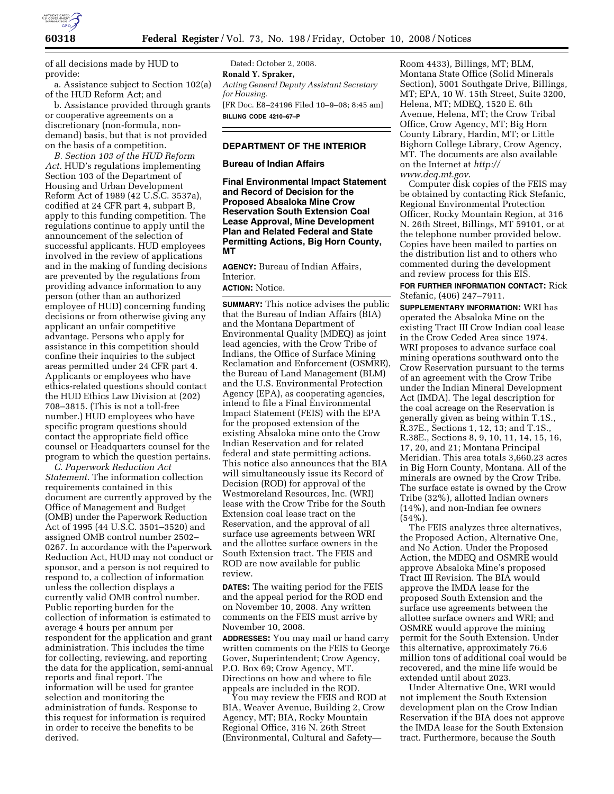

of all decisions made by HUD to provide:

a. Assistance subject to Section 102(a) of the HUD Reform Act; and

b. Assistance provided through grants or cooperative agreements on a discretionary (non-formula, nondemand) basis, but that is not provided on the basis of a competition.

*B. Section 103 of the HUD Reform Act.* HUD's regulations implementing Section 103 of the Department of Housing and Urban Development Reform Act of 1989 (42 U.S.C. 3537a), codified at 24 CFR part 4, subpart B, apply to this funding competition. The regulations continue to apply until the announcement of the selection of successful applicants. HUD employees involved in the review of applications and in the making of funding decisions are prevented by the regulations from providing advance information to any person (other than an authorized employee of HUD) concerning funding decisions or from otherwise giving any applicant an unfair competitive advantage. Persons who apply for assistance in this competition should confine their inquiries to the subject areas permitted under 24 CFR part 4. Applicants or employees who have ethics-related questions should contact the HUD Ethics Law Division at (202) 708–3815. (This is not a toll-free number.) HUD employees who have specific program questions should contact the appropriate field office counsel or Headquarters counsel for the program to which the question pertains.

*C. Paperwork Reduction Act Statement.* The information collection requirements contained in this document are currently approved by the Office of Management and Budget (OMB) under the Paperwork Reduction Act of 1995 (44 U.S.C. 3501–3520) and assigned OMB control number 2502– 0267. In accordance with the Paperwork Reduction Act, HUD may not conduct or sponsor, and a person is not required to respond to, a collection of information unless the collection displays a currently valid OMB control number. Public reporting burden for the collection of information is estimated to average 4 hours per annum per respondent for the application and grant administration. This includes the time for collecting, reviewing, and reporting the data for the application, semi-annual reports and final report. The information will be used for grantee selection and monitoring the administration of funds. Response to this request for information is required in order to receive the benefits to be derived.

Dated: October 2, 2008. **Ronald Y. Spraker,**  *Acting General Deputy Assistant Secretary for Housing.*  [FR Doc. E8–24196 Filed 10–9–08; 8:45 am] **BILLING CODE 4210–67–P** 

# **DEPARTMENT OF THE INTERIOR**

# **Bureau of Indian Affairs**

**Final Environmental Impact Statement and Record of Decision for the Proposed Absaloka Mine Crow Reservation South Extension Coal Lease Approval, Mine Development Plan and Related Federal and State Permitting Actions, Big Horn County, MT** 

**AGENCY:** Bureau of Indian Affairs, Interior.

### **ACTION:** Notice.

**SUMMARY:** This notice advises the public that the Bureau of Indian Affairs (BIA) and the Montana Department of Environmental Quality (MDEQ) as joint lead agencies, with the Crow Tribe of Indians, the Office of Surface Mining Reclamation and Enforcement (OSMRE), the Bureau of Land Management (BLM) and the U.S. Environmental Protection Agency (EPA), as cooperating agencies, intend to file a Final Environmental Impact Statement (FEIS) with the EPA for the proposed extension of the existing Absaloka mine onto the Crow Indian Reservation and for related federal and state permitting actions. This notice also announces that the BIA will simultaneously issue its Record of Decision (ROD) for approval of the Westmoreland Resources, Inc. (WRI) lease with the Crow Tribe for the South Extension coal lease tract on the Reservation, and the approval of all surface use agreements between WRI and the allottee surface owners in the South Extension tract. The FEIS and ROD are now available for public review.

**DATES:** The waiting period for the FEIS and the appeal period for the ROD end on November 10, 2008. Any written comments on the FEIS must arrive by November 10, 2008.

**ADDRESSES:** You may mail or hand carry written comments on the FEIS to George Gover, Superintendent; Crow Agency, P.O. Box 69; Crow Agency, MT. Directions on how and where to file appeals are included in the ROD.

You may review the FEIS and ROD at BIA, Weaver Avenue, Building 2, Crow Agency, MT; BIA, Rocky Mountain Regional Office, 316 N. 26th Street (Environmental, Cultural and Safety—

Room 4433), Billings, MT; BLM, Montana State Office (Solid Minerals Section), 5001 Southgate Drive, Billings, MT; EPA, 10 W. 15th Street, Suite 3200, Helena, MT; MDEQ, 1520 E. 6th Avenue, Helena, MT; the Crow Tribal Office, Crow Agency, MT; Big Horn County Library, Hardin, MT; or Little Bighorn College Library, Crow Agency, MT. The documents are also available on the Internet at *http:// www.deq.mt.gov*.

Computer disk copies of the FEIS may be obtained by contacting Rick Stefanic, Regional Environmental Protection Officer, Rocky Mountain Region, at 316 N. 26th Street, Billings, MT 59101, or at the telephone number provided below. Copies have been mailed to parties on the distribution list and to others who commented during the development and review process for this EIS.

**FOR FURTHER INFORMATION CONTACT:** Rick Stefanic, (406) 247–7911.

**SUPPLEMENTARY INFORMATION:** WRI has operated the Absaloka Mine on the existing Tract III Crow Indian coal lease in the Crow Ceded Area since 1974. WRI proposes to advance surface coal mining operations southward onto the Crow Reservation pursuant to the terms of an agreement with the Crow Tribe under the Indian Mineral Development Act (IMDA). The legal description for the coal acreage on the Reservation is generally given as being within T.1S., R.37E., Sections 1, 12, 13; and T.1S., R.38E., Sections 8, 9, 10, 11, 14, 15, 16, 17, 20, and 21; Montana Principal Meridian. This area totals 3,660.23 acres in Big Horn County, Montana. All of the minerals are owned by the Crow Tribe. The surface estate is owned by the Crow Tribe (32%), allotted Indian owners (14%), and non-Indian fee owners  $(54\%)$ .

The FEIS analyzes three alternatives, the Proposed Action, Alternative One, and No Action. Under the Proposed Action, the MDEQ and OSMRE would approve Absaloka Mine's proposed Tract III Revision. The BIA would approve the IMDA lease for the proposed South Extension and the surface use agreements between the allottee surface owners and WRI; and OSMRE would approve the mining permit for the South Extension. Under this alternative, approximately 76.6 million tons of additional coal would be recovered, and the mine life would be extended until about 2023.

Under Alternative One, WRI would not implement the South Extension development plan on the Crow Indian Reservation if the BIA does not approve the IMDA lease for the South Extension tract. Furthermore, because the South